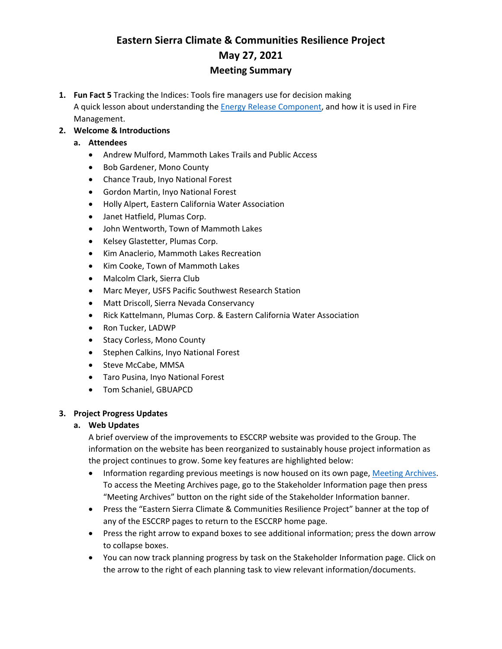# **Eastern Sierra Climate & Communities Resilience Project May 27, 2021 Meeting Summary**

**1. Fun Fact 5** Tracking the Indices: Tools fire managers use for decision making A quick lesson about understanding the **Energy Release Component**, and how it is used in Fire Management.

# **2. Welcome & Introductions**

- **a. Attendees**
	- Andrew Mulford, Mammoth Lakes Trails and Public Access
	- Bob Gardener, Mono County
	- Chance Traub, Inyo National Forest
	- Gordon Martin, Inyo National Forest
	- Holly Alpert, Eastern California Water Association
	- Janet Hatfield, Plumas Corp.
	- John Wentworth, Town of Mammoth Lakes
	- Kelsey Glastetter, Plumas Corp.
	- Kim Anaclerio, Mammoth Lakes Recreation
	- Kim Cooke, Town of Mammoth Lakes
	- Malcolm Clark, Sierra Club
	- Marc Meyer, USFS Pacific Southwest Research Station
	- Matt Driscoll, Sierra Nevada Conservancy
	- Rick Kattelmann, Plumas Corp. & Eastern California Water Association
	- Ron Tucker, LADWP
	- Stacy Corless, Mono County
	- Stephen Calkins, Inyo National Forest
	- Steve McCabe, MMSA
	- Taro Pusina, Inyo National Forest
	- Tom Schaniel, GBUAPCD

#### **3. Project Progress Updates**

#### **a. Web Updates**

A brief overview of the improvements to ESCCRP website was provided to the Group. The information on the website has been reorganized to sustainably house project information as the project continues to grow. Some key features are highlighted below:

- Information regarding previous meetings is now housed on its own page, Meeting Archives. To access the Meeting Archives page, go to the Stakeholder Information page then press "Meeting Archives" button on the right side of the Stakeholder Information banner.
- Press the "Eastern Sierra Climate & Communities Resilience Project" banner at the top of any of the ESCCRP pages to return to the ESCCRP home page.
- Press the right arrow to expand boxes to see additional information; press the down arrow to collapse boxes.
- You can now track planning progress by task on the Stakeholder Information page. Click on the arrow to the right of each planning task to view relevant information/documents.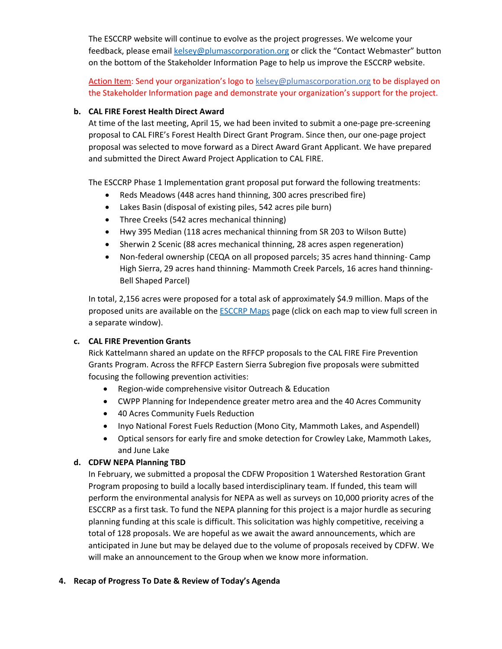The ESCCRP website will continue to evolve as the project progresses. We welcome your feedback, please email [kelsey@plumascorporation.org](mailto:kelsey@plumascorporation.org) or click the "Contact Webmaster" button on the bottom of the Stakeholder Information Page to help us improve the ESCCRP website.

Action Item: Send your organization's logo to [kelsey@plumascorporation.org](mailto:kelsey@plumascorporation.org) to be displayed on the Stakeholder Information page and demonstrate your organization's support for the project.

# **b. CAL FIRE Forest Health Direct Award**

At time of the last meeting, April 15, we had been invited to submit a one-page pre-screening proposal to CAL FIRE's Forest Health Direct Grant Program. Since then, our one-page project proposal was selected to move forward as a Direct Award Grant Applicant. We have prepared and submitted the Direct Award Project Application to CAL FIRE.

The ESCCRP Phase 1 Implementation grant proposal put forward the following treatments:

- Reds Meadows (448 acres hand thinning, 300 acres prescribed fire)
- Lakes Basin (disposal of existing piles, 542 acres pile burn)
- Three Creeks (542 acres mechanical thinning)
- Hwy 395 Median (118 acres mechanical thinning from SR 203 to Wilson Butte)
- Sherwin 2 Scenic (88 acres mechanical thinning, 28 acres aspen regeneration)
- Non-federal ownership (CEQA on all proposed parcels; 35 acres hand thinning- Camp High Sierra, 29 acres hand thinning- Mammoth Creek Parcels, 16 acres hand thinning-Bell Shaped Parcel)

In total, 2,156 acres were proposed for a total ask of approximately \$4.9 million. Maps of the proposed units are available on the [ESCCRP Maps](https://www.eswildfirealliance.org/esccrpmaps) page (click on each map to view full screen in a separate window).

#### **c. CAL FIRE Prevention Grants**

Rick Kattelmann shared an update on the RFFCP proposals to the CAL FIRE Fire Prevention Grants Program. Across the RFFCP Eastern Sierra Subregion five proposals were submitted focusing the following prevention activities:

- Region-wide comprehensive visitor Outreach & Education
- CWPP Planning for Independence greater metro area and the 40 Acres Community
- 40 Acres Community Fuels Reduction
- Inyo National Forest Fuels Reduction (Mono City, Mammoth Lakes, and Aspendell)
- Optical sensors for early fire and smoke detection for Crowley Lake, Mammoth Lakes, and June Lake

#### **d. CDFW NEPA Planning TBD**

In February, we submitted a proposal the CDFW Proposition 1 Watershed Restoration Grant Program proposing to build a locally based interdisciplinary team. If funded, this team will perform the environmental analysis for NEPA as well as surveys on 10,000 priority acres of the ESCCRP as a first task. To fund the NEPA planning for this project is a major hurdle as securing planning funding at this scale is difficult. This solicitation was highly competitive, receiving a total of 128 proposals. We are hopeful as we await the award announcements, which are anticipated in June but may be delayed due to the volume of proposals received by CDFW. We will make an announcement to the Group when we know more information.

#### **4. Recap of Progress To Date & Review of Today's Agenda**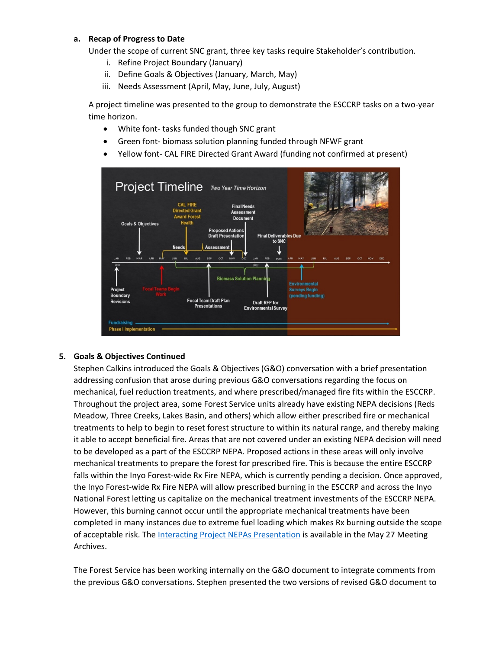### **a. Recap of Progress to Date**

Under the scope of current SNC grant, three key tasks require Stakeholder's contribution.

- i. Refine Project Boundary (January)
- ii. Define Goals & Objectives (January, March, May)
- iii. Needs Assessment (April, May, June, July, August)

A project timeline was presented to the group to demonstrate the ESCCRP tasks on a two-year time horizon.

- White font- tasks funded though SNC grant
- Green font- biomass solution planning funded through NFWF grant
- Yellow font- CAL FIRE Directed Grant Award (funding not confirmed at present)



#### **5. Goals & Objectives Continued**

Stephen Calkins introduced the Goals & Objectives (G&O) conversation with a brief presentation addressing confusion that arose during previous G&O conversations regarding the focus on mechanical, fuel reduction treatments, and where prescribed/managed fire fits within the ESCCRP. Throughout the project area, some Forest Service units already have existing NEPA decisions (Reds Meadow, Three Creeks, Lakes Basin, and others) which allow either prescribed fire or mechanical treatments to help to begin to reset forest structure to within its natural range, and thereby making it able to accept beneficial fire. Areas that are not covered under an existing NEPA decision will need to be developed as a part of the ESCCRP NEPA. Proposed actions in these areas will only involve mechanical treatments to prepare the forest for prescribed fire. This is because the entire ESCCRP falls within the Inyo Forest-wide Rx Fire NEPA, which is currently pending a decision. Once approved, the Inyo Forest-wide Rx Fire NEPA will allow prescribed burning in the ESCCRP and across the Inyo National Forest letting us capitalize on the mechanical treatment investments of the ESCCRP NEPA. However, this burning cannot occur until the appropriate mechanical treatments have been completed in many instances due to extreme fuel loading which makes Rx burning outside the scope of acceptable risk. Th[e Interacting Project NEPAs Presentation](https://6e569fe6-5a83-4329-8d2b-a6aa1e368140.filesusr.com/ugd/53aa1c_875cceacf7a444df878754497913be40.pdf) is available in the May 27 Meeting Archives.

The Forest Service has been working internally on the G&O document to integrate comments from the previous G&O conversations. Stephen presented the two versions of revised G&O document to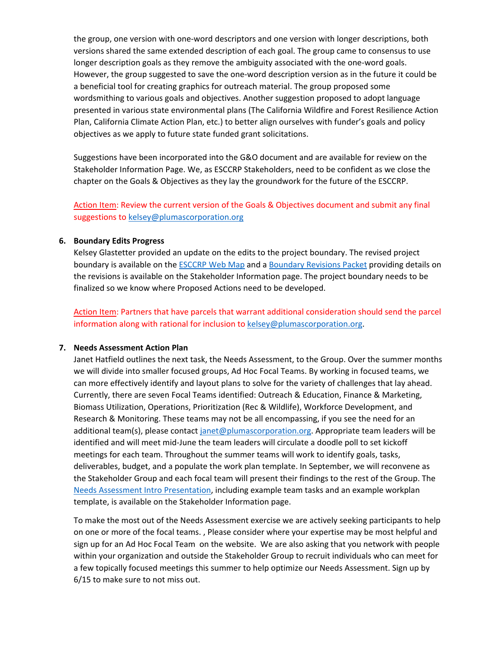the group, one version with one-word descriptors and one version with longer descriptions, both versions shared the same extended description of each goal. The group came to consensus to use longer description goals as they remove the ambiguity associated with the one-word goals. However, the group suggested to save the one-word description version as in the future it could be a beneficial tool for creating graphics for outreach material. The group proposed some wordsmithing to various goals and objectives. Another suggestion proposed to adopt language presented in various state environmental plans (The California Wildfire and Forest Resilience Action Plan, California Climate Action Plan, etc.) to better align ourselves with funder's goals and policy objectives as we apply to future state funded grant solicitations.

Suggestions have been incorporated into the G&O document and are available for review on the Stakeholder Information Page. We, as ESCCRP Stakeholders, need to be confident as we close the chapter on the Goals & Objectives as they lay the groundwork for the future of the ESCCRP.

Action Item: Review the current version of the Goals & Objectives document and submit any final suggestions to [kelsey@plumascorporation.org](mailto:kelsey@plumascorporation.org)

#### **6. Boundary Edits Progress**

Kelsey Glastetter provided an update on the edits to the project boundary. The revised project boundary is available on the [ESCCRP Web Map](https://www.eswildfirealliance.org/esccrpmaps) and a [Boundary Revisions Packet](https://6e569fe6-5a83-4329-8d2b-a6aa1e368140.filesusr.com/ugd/53aa1c_1774a095f2e944e99cdaaf6ec22c8ad1.pdf) providing details on the revisions is available on the Stakeholder Information page. The project boundary needs to be finalized so we know where Proposed Actions need to be developed.

Action Item: Partners that have parcels that warrant additional consideration should send the parcel information along with rational for inclusion to [kelsey@plumascorporation.org.](mailto:kelsey@plumascorporation.org)

#### **7. Needs Assessment Action Plan**

Janet Hatfield outlines the next task, the Needs Assessment, to the Group. Over the summer months we will divide into smaller focused groups, Ad Hoc Focal Teams. By working in focused teams, we can more effectively identify and layout plans to solve for the variety of challenges that lay ahead. Currently, there are seven Focal Teams identified: Outreach & Education, Finance & Marketing, Biomass Utilization, Operations, Prioritization (Rec & Wildlife), Workforce Development, and Research & Monitoring. These teams may not be all encompassing, if you see the need for an additional team(s), please contact [janet@plumascorporation.org.](mailto:janet@plumascorporation.org) Appropriate team leaders will be identified and will meet mid-June the team leaders will circulate a doodle poll to set kickoff meetings for each team. Throughout the summer teams will work to identify goals, tasks, deliverables, budget, and a populate the work plan template. In September, we will reconvene as the Stakeholder Group and each focal team will present their findings to the rest of the Group. The [Needs Assessment Intro Presentation,](https://6e569fe6-5a83-4329-8d2b-a6aa1e368140.filesusr.com/ugd/53aa1c_d220119a12e744fa81f8f66f85eae606.pdf) including example team tasks and an example workplan template, is available on the Stakeholder Information page.

To make the most out of the Needs Assessment exercise we are actively seeking participants to help on one or more of the focal teams. , Please consider where your expertise may be most helpful and sign up for an [Ad Hoc Focal Team](https://forms.gle/R1c2kU7fY9uo6JgY6) on the website. We are also asking that you network with people within your organization and outside the Stakeholder Group to recruit individuals who can meet for a few topically focused meetings this summer to help optimize our Needs Assessment. Sign up by 6/15 to make sure to not miss out.